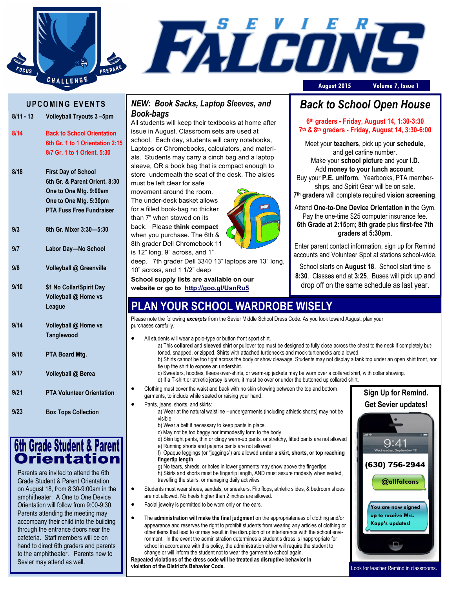



#### **U P C O MI N G E V E N T S**

|      | 8/11 - 13 Volleyball Tryouts 3-5pm |           |
|------|------------------------------------|-----------|
|      |                                    | i         |
| 8/14 | <b>Back to School Orientation</b>  | ś         |
|      | 6th Gr. 1 to 1 Orientation 2:15    | l         |
|      | 8/7 Gr. 1 to 1 Orient. 5:30        | ć         |
|      |                                    | Ś         |
| 8/18 | <b>First Day of School</b>         | Ś         |
|      | 6th Gr. & Parent Orient. 8:30      | ľ         |
|      | One to One Mtg. 9:00am             | ľ         |
|      | One to One Mtg. 5:30pm             |           |
|      | <b>PTA Fuss Free Fundraiser</b>    | f         |
|      |                                    | t         |
| 9/3  | 8th Gr. Mixer 3:30-5:30            | ł         |
|      |                                    | Ş         |
| 9/7  | Labor Day-No School                | i         |
|      |                                    | $\mathbf$ |
| 9/8  | Volleyball @ Greenville            |           |
|      |                                    |           |
| 9/10 | \$1 No Collar/Spirit Day           |           |
|      | Volleyball @ Home vs               |           |
|      | League                             |           |
|      |                                    | F         |
| 9/14 | Volleyball @ Home vs               | ŗ         |
|      | Tanglewood                         |           |
|      |                                    |           |
| 9/16 | PTA Board Mtg.                     |           |
|      |                                    |           |
| 9/17 | Volleyball @ Berea                 |           |
|      |                                    |           |
| 9/21 | <b>PTA Volunteer Orientation</b>   |           |
|      |                                    |           |
| 9/23 | <b>Box Tops Collection</b>         |           |
|      |                                    |           |



Parents are invited to attend the 6th Grade Student & Parent Orientation on August 18, from 8:30-9:00am in the amphitheater. A One to One Device Orientation will follow from 9:00-9:30. Parents attending the meeting may accompany their child into the building through the entrance doors near the cafeteria. Staff members will be on hand to direct 6th graders and parents to the amphitheater. Parents new to Sevier may attend as well.

#### *NEW: Book Sacks, Laptop Sleeves, and Book-bags*

All students will keep their textbooks at home after issue in August. Classroom sets are used at school. Each day, students will carry notebooks, Laptops or Chromebooks, calculators, and materials. Students may carry a cinch bag and a laptop sleeve, OR a book bag that is compact enough to store underneath the seat of the desk. The aisles must be left clear for safe

movement around the room. The under-desk basket allows for a filled book-bag no thicker than 7" when stowed on its

back. Please **think compact**  when you purchase. The 6th & 8th grader Dell Chromebook 11 is 12" long, 9" across, and 1"

deep. 7th grader Dell 3340 13" laptops are 13" long, 10" across, and 1 1/2" deep

**School supply lists are available on our website or go to http://goo.gl/UsnRu5**

# *Back to School Open House*

**6 th graders - Friday, August 14, 1:30-3:30 7 th & 8th graders - Friday, August 14, 3:30-6:00**

Meet your **teachers**, pick up your **schedule**, and get carline number. Make your **school picture** and your **I.D.** Add **money to your lunch account**. Buy your **P.E. uniform.** Yearbooks, PTA memberships, and Spirit Gear will be on sale.

**7 th graders** will complete required **vision screening**.

Attend **One-to-One Device Orientation** in the Gym. Pay the one-time \$25 computer insurance fee. **6th Grade at 2:15**pm; **8th grade** plus **first-fee 7th graders at 5:30pm**.

Enter parent contact information, sign up for Remind accounts and Volunteer Spot at stations school-wide.

School starts on **August 18**. School start time is **8:30**. Classes end at **3:25**. Buses will pick up and drop off on the same schedule as last year.

## **PLAN YOUR SCHOOL WARDROBE WISELY**

Please note the following *excerpts* from the Sevier Middle School Dress Code. As you look toward August, plan your purchases carefully.

- All students will wear a polo-type or button front sport shirt.
	- a) This **collared** and **sleeved** shirt or pullover top must be designed to fully close across the chest to the neck if completely buttoned, snapped, or zipped. Shirts with attached turtlenecks and mock-turtlenecks are allowed.
	- b) Shirts cannot be too tight across the body or show cleavage. Students may not display a tank top under an open shirt front, nor tie up the shirt to expose an undershirt.
	- c) Sweaters, hoodies, fleece over-shirts, or warm-up jackets may be worn over a collared shirt, with collar showing. d) If a T-shirt or athletic jersey is worn, it must be over or under the buttoned up collared shirt.

Clothing must cover the waist and back with no skin showing between the top and bottom

- garments, to include while seated or raising your hand.
- Pants, jeans, shorts, and skirts:
- a) Wear at the natural waistline --undergarments (including athletic shorts) may not be visible
	- b) Wear a belt if necessary to keep pants in place
	- c) May not be too baggy nor immodestly form to the body
	- d) Skin tight pants, thin or clingy warm-up pants, or stretchy, fitted pants are not allowed e) Running shorts and pajama pants are not allowed
	- f) Opaque leggings (or "jeggings") are allowed **under a skirt, shorts, or top reaching fingertip length**

g) No tears, shreds, or holes in lower garments may show above the fingertips h) Skirts and shorts must be fingertip length, AND must assure modesty when seated, travelling the stairs, or managing daily activities

- Students must wear shoes, sandals, or sneakers. Flip flops, athletic slides, & bedroom shoes are not allowed. No heels higher than 2 inches are allowed.
- Facial jewelry is permitted to be worn only on the ears.
- The **administration will make the final judgment** on the appropriateness of clothing and/or appearance and reserves the right to prohibit students from wearing any articles of clothing or other items that lead to or may result in the disruption of or interference with the school environment. In the event the administration determines a student's dress is inappropriate for school in accordance with this policy, the administration either will require the student to change or will inform the student not to wear the garment to school again.

**Repeated violations of the dress code will be treated as disruptive behavior in violation of the District's Behavior Code.**



Look for teacher Remind in classrooms.